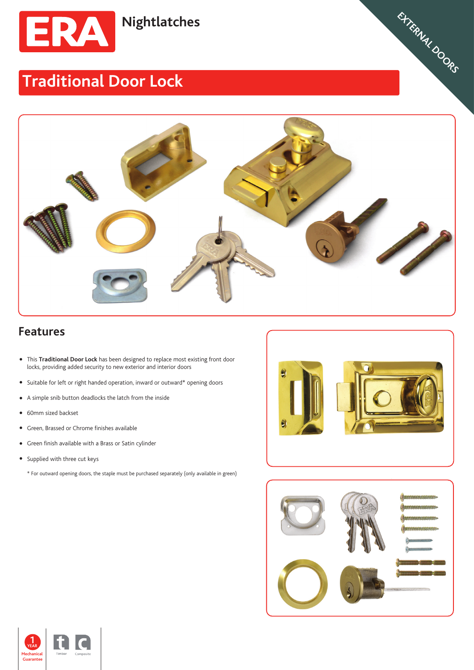

## **Traditional Door Lock**



## **Features**

- This **Traditional Door Lock** has been designed to replace most existing front door locks, providing added security to new exterior and interior doors
- Suitable for left or right handed operation, inward or outward\* opening doors
- A simple snib button deadlocks the latch from the inside
- 60mm sized backset
- Green, Brassed or Chrome finishes available
- Green finish available with a Brass or Satin cylinder
- Supplied with three cut keys
	- \* For outward opening doors, the staple must be purchased separately (only available in green)



**WEATHERSEALS STEEL SLIDING DOORS CROMPTON VIRTICAL TILT & TURN WINDOWS CASEMENT WINDOWS SHED,GARAGES,** EXTERNAL DOORS